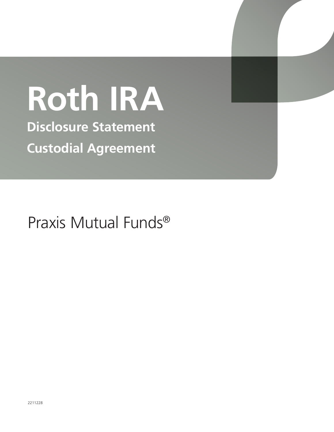# **Roth IRA**

**Disclosure Statement Custodial Agreement**

Praxis Mutual Funds®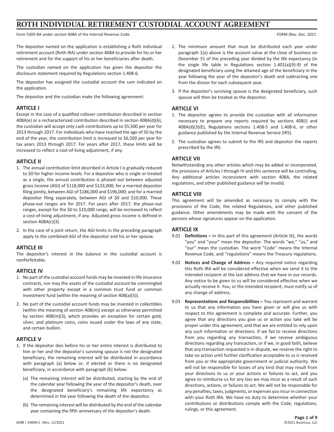# **ROTH INDIVIDUAL RETIREMENT CUSTODIAL ACCOUNT AGREEMENT**

Form 5305-RA under section 408A of the Internal Revenue Code. The Internal Revenue Code. FORM (Rev. Dec. 2021

The depositor named on the application is establishing a Roth individual retirement account (Roth IRA) under section 408A to provide for his or her retirement and for the support of his or her beneficiaries after death.

The custodian named on the application has given the depositor the disclosure statement required by Regulations section 1.408-6.

The depositor has assigned the custodial account the sum indicated on the application.

The depositor and the custodian make the following agreement:

## **ARTICLE I**

Except in the case of a qualified rollover contribution described in section 408A(e) or a recharacterized contribution described in section 408A(d)(6), the custodian will accept only cash contributions up to \$5,500 per year for 2013 through 2017. For individuals who have reached the age of 50 by the end of the year, the contribution limit is increased to \$6,500 per year for tax years 2013 through 2017. For years after 2017, these limits will be increased to reflect a cost-of-living adjustment, if any.

## **ARTICLE II**

- 1. The annual contribution limit described in Article I is gradually reduced to \$0 for higher income levels. For a depositor who is single or treated as a single, the annual contribution is phased out between adjusted gross income (AGI) of \$118,000 and \$133,000; for a married depositor filing jointly, between AGI of \$186,000 and \$196,000; and for a married depositor filing separately, between AGI of \$0 and \$10,000. These phase-out ranges are for 2017. For years after 2017, the phase-out ranges, except for the \$0 to \$10,000 range, will be increased to reflect a cost-of-living adjustment, if any. Adjusted gross income is defined in section 408A(c)(3).
- 2. In the case of a joint return, the AGI limits in the preceding paragraph apply to the combined AGI of the depositor and his or her spouse.

## **ARTICLE III**

The depositor's interest in the balance in the custodial account is nonforfeitable.

## **ARTICLE IV**

- 1. No part of the custodial account funds may be invested in life insurance contracts, nor may the assets of the custodial account be commingled with other property except in a common trust fund or common investment fund (within the meaning of section 408(a)(5)).
- 2. No part of the custodial account funds may be invested in collectibles (within the meaning of section 408(m)) except as otherwise permitted by section 408(m)(3), which provides an exception for certain gold, silver, and platinum coins, coins issued under the laws of any state, and certain bullion.

## **ARTICLE V**

- 1. If the depositor dies before his or her entire interest is distributed to him or her and the depositor's surviving spouse is not the designated beneficiary, the remaining interest will be distributed in accordance with paragraph (a) below or, if elected or there is no designated beneficiary, in accordance with paragraph (b) below:
	- (a) The remaining interest will be distributed, starting by the end of the calendar year following the year of the depositor's death, over the designated beneficiary's remaining life expectancy as determined in the year following the death of the depositor.
	- (b) The remaining interest will be distributed by the end of the calendar year containing the fifth anniversary of the depositor's death.
- 2. The minimum amount that must be distributed each year under paragraph 1(a) above is the account value at the close of business on December 31 of the preceding year divided by the life expectancy (in the single life table in Regulations section 1.401(a)(9)-9) of the designated beneficiary using the attained age of the beneficiary in the year following the year of the depositor's death and subtracting one from the divisor for each subsequent year.
- 3. If the depositor's surviving spouse is the designated beneficiary, such spouse will then be treated as the depositor.

## **ARTICLE VI**

- 1. The depositor agrees to provide the custodian with all information necessary to prepare any reports required by sections 408(i) and 408A(d)(3)(E), Regulations sections 1.408-5 and 1.408-6, or other guidance published by the Internal Revenue Service (IRS).
- 2. The custodian agrees to submit to the IRS and depositor the reports prescribed by the IRS.

## **ARTICLE VII**

Notwithstanding any other articles which may be added or incorporated, the provisions of Articles I through IV and this sentence will be controlling. Any additional articles inconsistent with section 408A, the related regulations, and other published guidance will be invalid.

## **ARTICLE VIII**

This agreement will be amended as necessary to comply with the provisions of the Code, the related Regulations, and other published guidance. Other amendments may be made with the consent of the persons whose signatures appear on the application.

## **ARTICLE IX**

- 9.01 **Definitions –** In this part of this agreement (Article IX), the words "you" and "your" mean the depositor. The words "we," "us," and "our" mean the custodian. The word "Code" means the Internal Revenue Code, and "regulations" means the Treasury regulations.
- 9.02 **Notices and Change of Address –** Any required notice regarding this Roth IRA will be considered effective when we send it to the intended recipient at the last address that we have in our records. Any notice to be given to us will be considered effective when we actually receive it. You, or the intended recipient, must notify us of any change of address.
- 9.03 **Representations and Responsibilities –** You represent and warrant to us that any information you have given or will give us with respect to this agreement is complete and accurate. Further, you agree that any directions you give us or action you take will be proper under this agreement, and that we are entitled to rely upon any such information or directions. If we fail to receive directions from you regarding any transaction, if we receive ambiguous directions regarding any transaction, or if we, in good faith, believe that any transaction requested is in dispute, we reserve the right to take no action until further clarification acceptable to us is received from you or the appropriate government or judicial authority. We will not be responsible for losses of any kind that may result from your directions to us or your actions or failures to act, and you agree to reimburse us for any loss we may incur as a result of such directions, actions, or failures to act. We will not be responsible for any penalties, taxes, judgments, or expenses you incur in connection with your Roth IRA. We have no duty to determine whether your contributions or distributions comply with the Code, regulations, rulings, or this agreement.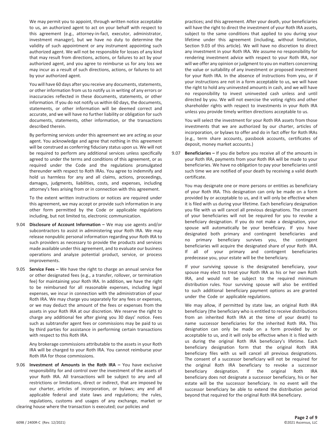We may permit you to appoint, through written notice acceptable to us, an authorized agent to act on your behalf with respect to this agreement (e.g., attorney-in-fact, executor, administrator, investment manager), but we have no duty to determine the validity of such appointment or any instrument appointing such authorized agent. We will not be responsible for losses of any kind that may result from directions, actions, or failures to act by your authorized agent, and you agree to reimburse us for any loss we may incur as a result of such directions, actions, or failures to act by your authorized agent.

You will have 60 days after you receive any documents, statements, or other information from us to notify us in writing of any errors or inaccuracies reflected in these documents, statements, or other information. If you do not notify us within 60 days, the documents, statements, or other information will be deemed correct and accurate, and we will have no further liability or obligation for such documents, statements, other information, or the transactions described therein.

By performing services under this agreement we are acting as your agent. You acknowledge and agree that nothing in this agreement will be construed as conferring fiduciary status upon us. We will not be required to perform any additional services unless specifically agreed to under the terms and conditions of this agreement, or as required under the Code and the regulations promulgated thereunder with respect to Roth IRAs. You agree to indemnify and hold us harmless for any and all claims, actions, proceedings, damages, judgments, liabilities, costs, and expenses, including attorney's fees arising from or in connection with this agreement.

To the extent written instructions or notices are required under this agreement, we may accept or provide such information in any other form permitted by the Code or applicable regulations including, but not limited to, electronic communication.

- 9.04 **Disclosure of Account Information –** We may use agents and/or subcontractors to assist in administering your Roth IRA. We may release nonpublic personal information regarding your Roth IRA to such providers as necessary to provide the products and services made available under this agreement, and to evaluate our business operations and analyze potential product, service, or process improvements.
- 9.05 **Service Fees –** We have the right to charge an annual service fee or other designated fees (e.g., a transfer, rollover, or termination fee) for maintaining your Roth IRA. In addition, we have the right to be reimbursed for all reasonable expenses, including legal expenses, we incur in connection with the administration of your Roth IRA. We may charge you separately for any fees or expenses, or we may deduct the amount of the fees or expenses from the assets in your Roth IRA at our discretion. We reserve the right to charge any additional fee after giving you 30 days' notice. Fees such as subtransfer agent fees or commissions may be paid to us by third parties for assistance in performing certain transactions with respect to this Roth IRA.

Any brokerage commissions attributable to the assets in your Roth IRA will be charged to your Roth IRA. You cannot reimburse your Roth IRA for those commissions.

9.06 **Investment of Amounts in the Roth IRA –** You have exclusive responsibility for and control over the investment of the assets of your Roth IRA. All transactions will be subject to any and all restrictions or limitations, direct or indirect, that are imposed by our charter, articles of incorporation, or bylaws; any and all applicable federal and state laws and regulations; the rules, regulations, customs and usages of any exchange, market or clearing house where the transaction is executed; our policies and

practices; and this agreement. After your death, your beneficiaries will have the right to direct the investment of your Roth IRA assets, subject to the same conditions that applied to you during your lifetime under this agreement (including, without limitation, Section 9.03 of this article). We will have no discretion to direct any investment in your Roth IRA. We assume no responsibility for rendering investment advice with respect to your Roth IRA, nor will we offer any opinion or judgment to you on matters concerning the value or suitability of any investment or proposed investment for your Roth IRA. In the absence of instructions from you, or if your instructions are not in a form acceptable to us, we will have the right to hold any uninvested amounts in cash, and we will have no responsibility to invest uninvested cash unless and until directed by you. We will not exercise the voting rights and other shareholder rights with respect to investments in your Roth IRA unless you provide timely written directions acceptable to us.

You will select the investment for your Roth IRA assets from those investments that we are authorized by our charter, articles of incorporation, or bylaws to offer and do in fact offer for Roth IRAs (e.g., term share accounts, passbook accounts, certificates of deposit, money market accounts.)

9.07 **Beneficiaries –** If you die before you receive all of the amounts in your Roth IRA, payments from your Roth IRA will be made to your beneficiaries. We have no obligation to pay your beneficiaries until such time we are notified of your death by receiving a valid death certificate.

You may designate one or more persons or entities as beneficiary of your Roth IRA. This designation can only be made on a form provided by or acceptable to us, and it will only be effective when it is filed with us during your lifetime. Each beneficiary designation you file with us will cancel all previous designations. The consent of your beneficiaries will not be required for you to revoke a beneficiary designation. If you do not make a designation, your spouse will automatically be your beneficiary. If you have designated both primary and contingent beneficiaries and no primary beneficiary survives you, the contingent beneficiaries will acquire the designated share of your Roth IRA. If all of your primary and contingent beneficiaries predecease you, your estate will be the beneficiary.

If your surviving spouse is the designated beneficiary, your spouse may elect to treat your Roth IRA as his or her own Roth IRA, and would not be subject to the required minimum distribution rules. Your surviving spouse will also be entitled to such additional beneficiary payment options as are granted under the Code or applicable regulations.

We may allow, if permitted by state law, an original Roth IRA beneficiary (the beneficiary who is entitled to receive distributions from an inherited Roth IRA at the time of your death) to name successor beneficiaries for the inherited Roth IRA. This designation can only be made on a form provided by or acceptable to us, and it will only be effective when it is filed with us during the original Roth IRA beneficiary's lifetime. Each beneficiary designation form that the original Roth IRA beneficiary files with us will cancel all previous designations. The consent of a successor beneficiary will not be required for the original Roth IRA beneficiary to revoke a successor beneficiary designation. If the original Roth IRA beneficiary does not designate a successor beneficiary, his or her estate will be the successor beneficiary. In no event will the successor beneficiary be able to extend the distribution period beyond that required for the original Roth IRA beneficiary.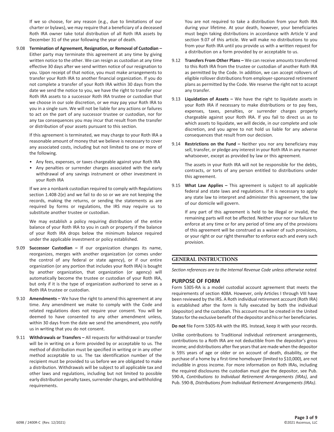If we so choose, for any reason (e.g., due to limitations of our charter or bylaws), we may require that a beneficiary of a deceased Roth IRA owner take total distribution of all Roth IRA assets by December 31 of the year following the year of death.

9.08 **Termination of Agreement, Resignation, or Removal of Custodian –** Either party may terminate this agreement at any time by giving written notice to the other. We can resign as custodian at any time effective 30 days after we send written notice of our resignation to you. Upon receipt of that notice, you must make arrangements to transfer your Roth IRA to another financial organization. If you do not complete a transfer of your Roth IRA within 30 days from the date we send the notice to you, we have the right to transfer your Roth IRA assets to a successor Roth IRA trustee or custodian that we choose in our sole discretion, or we may pay your Roth IRA to you in a single sum. We will not be liable for any actions or failures to act on the part of any successor trustee or custodian, nor for any tax consequences you may incur that result from the transfer or distribution of your assets pursuant to this section.

If this agreement is terminated, we may charge to your Roth IRA a reasonable amount of money that we believe is necessary to cover any associated costs, including but not limited to one or more of the following.

- Any fees, expenses, or taxes chargeable against your Roth IRA
- Any penalties or surrender charges associated with the early withdrawal of any savings instrument or other investment in your Roth IRA

If we are a nonbank custodian required to comply with Regulations section 1.408-2(e) and we fail to do so or we are not keeping the records, making the returns, or sending the statements as are required by forms or regulations, the IRS may require us to substitute another trustee or custodian.

We may establish a policy requiring distribution of the entire balance of your Roth IRA to you in cash or property if the balance of your Roth IRA drops below the minimum balance required under the applicable investment or policy established.

- 9.09 **Successor Custodian –** If our organization changes its name, reorganizes, merges with another organization (or comes under the control of any federal or state agency), or if our entire organization (or any portion that includes your Roth IRA) is bought by another organization, that organization (or agency) will automatically become the trustee or custodian of your Roth IRA, but only if it is the type of organization authorized to serve as a Roth IRA trustee or custodian.
- 9.10 **Amendments –** We have the right to amend this agreement at any time. Any amendment we make to comply with the Code and related regulations does not require your consent. You will be deemed to have consented to any other amendment unless, within 30 days from the date we send the amendment, you notify us in writing that you do not consent.
- 9.11 **Withdrawals or Transfers –** All requests for withdrawal or transfer will be in writing on a form provided by or acceptable to us. The method of distribution must be specified in writing or in any other method acceptable to us. The tax identification number of the recipient must be provided to us before we are obligated to make a distribution. Withdrawals will be subject to all applicable tax and other laws and regulations, including but not limited to possible early distribution penalty taxes, surrender charges, and withholding requirements.

You are not required to take a distribution from your Roth IRA during your lifetime. At your death, however, your beneficiaries must begin taking distributions in accordance with Article V and section 9.07 of this article. We will make no distributions to you from your Roth IRA until you provide us with a written request for a distribution on a form provided by or acceptable to us.

- 9.12 **Transfers From Other Plans –** We can receive amounts transferred to this Roth IRA from the trustee or custodian of another Roth IRA as permitted by the Code. In addition, we can accept rollovers of eligible rollover distributions from employer-sponsored retirement plans as permitted by the Code. We reserve the right not to accept any transfer.
- 9.13 **Liquidation of Assets –** We have the right to liquidate assets in your Roth IRA if necessary to make distributions or to pay fees, expenses, taxes, penalties, or surrender charges properly chargeable against your Roth IRA. If you fail to direct us as to which assets to liquidate, we will decide, in our complete and sole discretion, and you agree to not hold us liable for any adverse consequences that result from our decision.
- 9.14 **Restrictions on the Fund –** Neither you nor any beneficiary may sell, transfer, or pledge any interest in your Roth IRA in any manner whatsoever, except as provided by law or this agreement.

The assets in your Roth IRA will not be responsible for the debts, contracts, or torts of any person entitled to distributions under this agreement.

9.15 **What Law Applies –** This agreement is subject to all applicable federal and state laws and regulations. If it is necessary to apply any state law to interpret and administer this agreement, the law of our domicile will govern.

If any part of this agreement is held to be illegal or invalid, the remaining parts will not be affected. Neither your nor our failure to enforce at any time or for any period of time any of the provisions of this agreement will be construed as a waiver of such provisions, or your right or our right thereafter to enforce each and every such provision.

## **GENERAL INSTRUCTIONS**

*Section references are to the Internal Revenue Code unless otherwise noted.*

## **PURPOSE OF FORM**

Form 5305-RA is a model custodial account agreement that meets the requirements of section 408A. However, only Articles I through VIII have been reviewed by the IRS. A Roth individual retirement account (Roth IRA) is established after the form is fully executed by both the individual (depositor) and the custodian. This account must be created in the United States for the exclusive benefit of the depositor and his or her beneficiaries.

**Do not** file Form 5305-RA with the IRS. Instead, keep it with your records.

Unlike contributions to Traditional individual retirement arrangements, contributions to a Roth IRA are not deductible from the depositor's gross income; and distributions after five years that are made when the depositor is 59½ years of age or older or on account of death, disability, or the purchase of a home by a first-time homebuyer (limited to \$10,000), are not includible in gross income. For more information on Roth IRAs, including the required disclosures the custodian must give the depositor, see Pub. 590-A, *Contributions to Individual Retirement Arrangements (IRAs)*, and Pub. 590-B, *Distributions from Individual Retirement Arrangements (IRAs)*.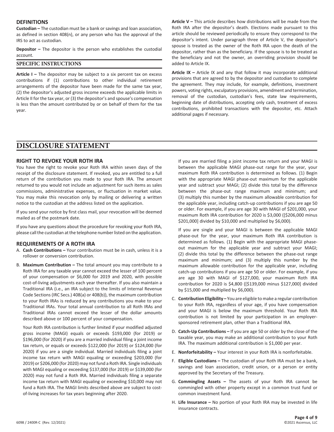## **DEFINITIONS**

**Custodian –** The custodian must be a bank or savings and loan association, as defined in section 408(n), or any person who has the approval of the IRS to act as custodian.

**Depositor –** The depositor is the person who establishes the custodial account.

## **SPECIFIC INSTRUCTIONS**

**Article I –** The depositor may be subject to a six percent tax on excess contributions if (1) contributions to other individual retirement arrangements of the depositor have been made for the same tax year, (2) the depositor's adjusted gross income exceeds the applicable limits in Article II for the tax year, or (3) the depositor's and spouse's compensation is less than the amount contributed by or on behalf of them for the tax year.

**Article V –** This article describes how distributions will be made from the Roth IRA after the depositor's death. Elections made pursuant to this article should be reviewed periodically to ensure they correspond to the depositor's intent. Under paragraph three of Article V, the depositor's spouse is treated as the owner of the Roth IRA upon the death of the depositor, rather than as the beneficiary. If the spouse is to be treated as the beneficiary and not the owner, an overriding provision should be added to Article IX.

**Article IX –** Article IX and any that follow it may incorporate additional provisions that are agreed to by the depositor and custodian to complete the agreement. They may include, for example, definitions, investment powers, voting rights, exculpatory provisions, amendment and termination, removal of the custodian, custodian's fees, state law requirements, beginning date of distributions, accepting only cash, treatment of excess contributions, prohibited transactions with the depositor, etc. Attach additional pages if necessary.

## **DISCLOSURE STATEMENT**

## **RIGHT TO REVOKE YOUR ROTH IRA**

You have the right to revoke your Roth IRA within seven days of the receipt of the disclosure statement. If revoked, you are entitled to a full return of the contribution you made to your Roth IRA. The amount returned to you would not include an adjustment for such items as sales commissions, administrative expenses, or fluctuation in market value. You may make this revocation only by mailing or delivering a written notice to the custodian at the address listed on the application.

If you send your notice by first class mail, your revocation will be deemed mailed as of the postmark date.

If you have any questions about the procedure for revoking your Roth IRA, please call the custodian at the telephone number listed on the application.

#### **REQUIREMENTS OF A ROTH IRA**

- A. **Cash Contributions –** Your contribution must be in cash, unless it is a rollover or conversion contribution.
- B. **Maximum Contribution** The total amount you may contribute to a Roth IRA for any taxable year cannot exceed the lesser of 100 percent of your compensation or \$6,000 for 2019 and 2020, with possible cost-of-living adjustments each year thereafter. If you also maintain a Traditional IRA (i.e., an IRA subject to the limits of Internal Revenue Code Sections (IRC Secs.) 408(a) or 408(b)), the maximum contribution to your Roth IRAs is reduced by any contributions you make to your Traditional IRAs. Your total annual contribution to all Roth IRAs and Traditional IRAs cannot exceed the lesser of the dollar amounts described above or 100 percent of your compensation.

Your Roth IRA contribution is further limited if your modified adjusted gross income (MAGI) equals or exceeds \$193,000 (for 2019) or \$196,000 (for 2020) if you are a married individual filing a joint income tax return, or equals or exceeds \$122,000 (for 2019) or \$124,000 (for 2020) if you are a single individual. Married individuals filing a joint income tax return with MAGI equaling or exceeding \$203,000 (for 2019) or \$206,000 (for 2020) may not fund a Roth IRA. Single individuals with MAGI equaling or exceeding \$137,000 (for 2019) or \$139,000 (for 2020) may not fund a Roth IRA. Married individuals filing a separate income tax return with MAGI equaling or exceeding \$10,000 may not fund a Roth IRA. The MAGI limits described above are subject to costof-living increases for tax years beginning after 2020.

If you are married filing a joint income tax return and your MAGI is between the applicable MAGI phase-out range for the year, your maximum Roth IRA contribution is determined as follows. (1) Begin with the appropriate MAGI phase-out maximum for the applicable year and subtract your MAGI; (2) divide this total by the difference between the phase-out range maximum and minimum; and (3) multiply this number by the maximum allowable contribution for the applicable year, including catch-up contributions if you are age 50 or older. For example, if you are age 30 with MAGI of \$201,000, your maximum Roth IRA contribution for 2020 is \$3,000 ([\$206,000 minus \$201,000] divided by \$10,000 and multiplied by \$6,000).

If you are single and your MAGI is between the applicable MAGI phase-out for the year, your maximum Roth IRA contribution is determined as follows. (1) Begin with the appropriate MAGI phaseout maximum for the applicable year and subtract your MAGI; (2) divide this total by the difference between the phase-out range maximum and minimum; and (3) multiply this number by the maximum allowable contribution for the applicable year, including catch-up contributions if you are age 50 or older. For example, if you are age 30 with MAGI of \$127,000, your maximum Roth IRA contribution for 2020 is \$4,800 ([\$139,000 minus \$127,000] divided by \$15,000 and multiplied by \$6,000).

- C. **Contribution Eligibility –** You are eligible to make a regular contribution to your Roth IRA, regardless of your age, if you have compensation and your MAGI is below the maximum threshold. Your Roth IRA contribution is not limited by your participation in an employersponsored retirement plan, other than a Traditional IRA.
- D. **Catch-Up Contributions –** If you are age 50 or older by the close of the taxable year, you may make an additional contribution to your Roth IRA. The maximum additional contribution is \$1,000 per year.
- E. **Nonforfeitability –** Your interest in your Roth IRA is nonforfeitable.
- F. **Eligible Custodians –** The custodian of your Roth IRA must be a bank, savings and loan association, credit union, or a person or entity approved by the Secretary of the Treasury.
- G. **Commingling Assets –** The assets of your Roth IRA cannot be commingled with other property except in a common trust fund or common investment fund.
- H. **Life Insurance –** No portion of your Roth IRA may be invested in life insurance contracts.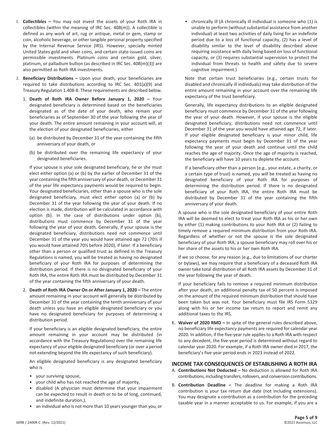- I. **Collectibles –** You may not invest the assets of your Roth IRA in collectibles (within the meaning of IRC Sec. 408(m)). A collectible is defined as any work of art, rug or antique, metal or gem, stamp or coin, alcoholic beverage, or other tangible personal property specified by the Internal Revenue Service (IRS). However, specially minted United States gold and silver coins, and certain state-issued coins are permissible investments. Platinum coins and certain gold, silver, platinum, or palladium bullion (as described in IRC Sec. 408(m)(3)) are also permitted as Roth IRA investments.
- J. **Beneficiary Distributions –** Upon your death, your beneficiaries are required to take distributions according to IRC Sec. 401(a)(9) and Treasury Regulation 1.408-8. These requirements are described below.
	- 1. **Death of Roth IRA Owner Before January 1, 2020** Your designated beneficiary is determined based on the beneficiaries designated as of the date of your death, who remain your beneficiaries as of September 30 of the year following the year of your death. The entire amount remaining in your account will, at the election of your designated beneficiaries, either
		- (a) be distributed by December 31 of the year containing the fifth anniversary of your death, or
		- (b) be distributed over the remaining life expectancy of your designated beneficiaries.

If your spouse is your sole designated beneficiary, he or she must elect either option (a) or (b) by the earlier of December 31 of the year containing the fifth anniversary of your death, or December 31 of the year life expectancy payments would be required to begin. Your designated beneficiaries, other than a spouse who is the sole designated beneficiary, must elect either option (a) or (b) by December 31 of the year following the year of your death. If no election is made, distribution will be calculated in accordance with option (b). In the case of distributions under option (b), distributions must commence by December 31 of the year following the year of your death. Generally, if your spouse is the designated beneficiary, distributions need not commence until December 31 of the year you would have attained age 72 (70½ if you would have attained 70½ before 2020), if later. If a beneficiary other than a person or qualified trust as defined in the Treasury Regulations is named, you will be treated as having no designated beneficiary of your Roth IRA for purposes of determining the distribution period. If there is no designated beneficiary of your Roth IRA, the entire Roth IRA must be distributed by December 31 of the year containing the fifth anniversary of your death.

2. **Death of Roth IRA Owner On or After January 1, 2020 –** The entire amount remaining in your account will generally be distributed by December 31 of the year containing the tenth anniversary of your death unless you have an eligible designated beneficiary or you have no designated beneficiary for purposes of determining a distribution period.

If your beneficiary is an eligible designated beneficiary, the entire amount remaining in your account may be distributed (in accordance with the Treasury Regulations) over the remaining life expectancy of your eligible designated beneficiary (or over a period not extending beyond the life expectancy of such beneficiary).

An eligible designated beneficiary is any designated beneficiary who is

- your surviving spouse,
- your child who has not reached the age of majority,
- disabled (A physician must determine that your impairment can be expected to result in death or to be of long, continued, and indefinite duration.),
- an individual who is not more than 10 years younger than you, or

• chronically ill (A chronically ill individual is someone who (1) is unable to perform (without substantial assistance from another individual) at least two activities of daily living for an indefinite period due to a loss of functional capacity, (2) has a level of disability similar to the level of disability described above requiring assistance with daily living based on loss of functional capacity, or (3) requires substantial supervision to protect the individual from threats to health and safety due to severe cognitive impairment.)

Note that certain trust beneficiaries (e.g., certain trusts for disabled and chronically ill individuals) may take distribution of the entire amount remaining in your account over the remaining life expectancy of the trust beneficiary.

Generally, life expectancy distributions to an eligible designated beneficiary must commence by December 31 of the year following the year of your death. However, if your spouse is the eligible designated beneficiary, distributions need not commence until December 31 of the year you would have attained age 72, if later. If your eligible designated beneficiary is your minor child, life expectancy payments must begin by December 31 of the year following the year of your death and continue until the child reaches the age of majority. Once the age of majority is reached, the beneficiary will have 10 years to deplete the account.

If a beneficiary other than a person (e.g., your estate, a charity, or a certain type of trust) is named, you will be treated as having no designated beneficiary of your Roth IRA for purposes of determining the distribution period. If there is no designated beneficiary of your Roth IRA, the entire Roth IRA must be distributed by December 31 of the year containing the fifth anniversary of your death.

A spouse who is the sole designated beneficiary of your entire Roth IRA will be deemed to elect to treat your Roth IRA as his or her own by either (1) making contributions to your Roth IRA or (2) failing to timely remove a required minimum distribution from your Roth IRA. Regardless of whether or not the spouse is the sole designated beneficiary of your Roth IRA, a spouse beneficiary may roll over his or her share of the assets to his or her own Roth IRA.

If we so choose, for any reason (e.g., due to limitations of our charter or bylaws), we may require that a beneficiary of a deceased Roth IRA owner take total distribution of all Roth IRA assets by December 31 of the year following the year of death.

If your beneficiary fails to remove a required minimum distribution after your death, an additional penalty tax of 50 percent is imposed on the amount of the required minimum distribution that should have been taken but was not. Your beneficiary must file IRS Form 5329 along with his or her income tax return to report and remit any additional taxes to the IRS.

K. **Waiver of 2020 RMD –** In spite of the general rules described above, no beneficiary life expectancy payments are required for calendar year 2020. In addition, if the five-year rule applies to a Roth IRA with respect to any decedent, the five-year period is determined without regard to calendar year 2020. For example, if a Roth IRA owner died in 2017, the beneficiary's five-year period ends in 2023 instead of 2022.

#### **INCOME TAX CONSEQUENCES OF ESTABLISHING A ROTH IRA**

- A. **Contributions Not Deducted –** No deduction is allowed for Roth IRA contributions, including transfers, rollovers, and conversion contributions.
- B. **Contribution Deadline –** The deadline for making a Roth IRA contribution is your tax return due date (not including extensions). You may designate a contribution as a contribution for the preceding taxable year in a manner acceptable to us. For example, if you are a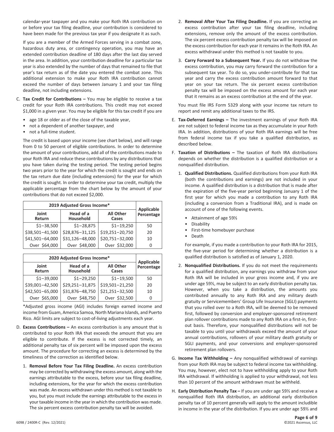calendar-year taxpayer and you make your Roth IRA contribution on or before your tax filing deadline, your contribution is considered to have been made for the previous tax year if you designate it as such.

If you are a member of the Armed Forces serving in a combat zone, hazardous duty area, or contingency operation, you may have an extended contribution deadline of 180 days after the last day served in the area. In addition, your contribution deadline for a particular tax year is also extended by the number of days that remained to file that year's tax return as of the date you entered the combat zone. This additional extension to make your Roth IRA contribution cannot exceed the number of days between January 1 and your tax filing deadline, not including extensions.

- C. **Tax Credit for Contributions –** You may be eligible to receive a tax credit for your Roth IRA contributions. This credit may not exceed \$1,000 in a given year. You may be eligible for this tax credit if you are
	- age 18 or older as of the close of the taxable year,
	- not a dependent of another taxpayer, and
	- not a full-time student.

The credit is based upon your income (see chart below), and will range from 0 to 50 percent of eligible contributions. In order to determine the amount of your contributions, add all of the contributions made to your Roth IRA and reduce these contributions by any distributions that you have taken during the testing period. The testing period begins two years prior to the year for which the credit is sought and ends on the tax return due date (including extensions) for the year for which the credit is sought. In order to determine your tax credit, multiply the applicable percentage from the chart below by the amount of your contributions that do not exceed \$2,000.

| 2019 Adjusted Gross Income* |                        |                           |                          |
|-----------------------------|------------------------|---------------------------|--------------------------|
| Joint<br>Return             | Head of a<br>Household | <b>All Other</b><br>Cases | Applicable<br>Percentage |
| $$1 - 38,500$               | $$1 - 28,875$          | $$1 - 19,250$             | 50                       |
| \$38,501-41,500             | \$28,876-31,125        | \$19,251-20,750           | 20                       |
| \$41,501-64,000             | \$31,126-48,000        | \$20,751-32,000           | 10                       |
| Over \$64,000               | Over \$48,000          | Over \$32,000             | 0                        |

| 2020 Adjusted Gross Income* | <b>Applicable</b>      |                           |            |
|-----------------------------|------------------------|---------------------------|------------|
| Joint<br>Return             | Head of a<br>Household | <b>All Other</b><br>Cases | Percentage |
| $$1-39,000$                 | $$1 - 29,250$          | $$1 - 19,500$             | 50         |
| \$39,001-42,500             | \$29,251-31,875        | \$19,501-21,250           | 20         |
| \$42,501-65,000             | \$31,876-48,750        | \$21,251-32,500           | 10         |
| Over \$65,000               | Over \$48,750          | Over \$32,500             |            |

\*Adjusted gross income (AGI) includes foreign earned income and income from Guam, America Samoa, North Mariana Islands, and Puerto Rico. AGI limits are subject to cost-of-living adjustments each year.

- D. **Excess Contributions –** An excess contribution is any amount that is contributed to your Roth IRA that exceeds the amount that you are eligible to contribute. If the excess is not corrected timely, an additional penalty tax of six percent will be imposed upon the excess amount. The procedure for correcting an excess is determined by the timeliness of the correction as identified below.
	- 1. **Removal Before Your Tax Filing Deadline.** An excess contribution may be corrected by withdrawing the excess amount, along with the earnings attributable to the excess, before your tax filing deadline, including extensions, for the year for which the excess contribution was made. An excess withdrawn under this method is not taxable to you, but you must include the earnings attributable to the excess in your taxable income in the year in which the contribution was made. The six percent excess contribution penalty tax will be avoided.
- 2. **Removal After Your Tax Filing Deadline.** If you are correcting an excess contribution after your tax filing deadline, including extensions, remove only the amount of the excess contribution. The six percent excess contribution penalty tax will be imposed on the excess contribution for each year it remains in the Roth IRA. An excess withdrawal under this method is not taxable to you.
- 3. **Carry Forward to a Subsequent Year.** If you do not withdraw the excess contribution, you may carry forward the contribution for a subsequent tax year. To do so, you under-contribute for that tax year and carry the excess contribution amount forward to that year on your tax return. The six percent excess contribution penalty tax will be imposed on the excess amount for each year that it remains as an excess contribution at the end of the year.

You must file IRS Form 5329 along with your income tax return to report and remit any additional taxes to the IRS.

- E. **Tax-Deferred Earnings –** The investment earnings of your Roth IRA are not subject to federal income tax as they accumulate in your Roth IRA. In addition, distributions of your Roth IRA earnings will be free from federal income tax if you take a qualified distribution, as described below.
- F. **Taxation of Distributions –** The taxation of Roth IRA distributions depends on whether the distribution is a qualified distribution or a nonqualified distribution.
	- 1. **Qualified Distributions.** Qualified distributions from your Roth IRA (both the contributions and earnings) are not included in your income. A qualified distribution is a distribution that is made after the expiration of the five-year period beginning January 1 of the first year for which you made a contribution to any Roth IRA (including a conversion from a Traditional IRA), and is made on account of one of the following events.
		- Attainment of age 59½
		- **Disability**
		- First-time homebuyer purchase
		- Death

For example, if you made a contribution to your Roth IRA for 2015, the five-year period for determining whether a distribution is a qualified distribution is satisfied as of January 1, 2020.

- 2. **Nonqualified Distributions.** If you do not meet the requirements for a qualified distribution, any earnings you withdraw from your Roth IRA will be included in your gross income and, if you are under age 59½, may be subject to an early distribution penalty tax. However, when you take a distribution, the amounts you contributed annually to any Roth IRA and any military death gratuity or Servicemembers' Group Life Insurance (SGLI) payments that you rolled over to a Roth IRA, will be deemed to be removed first, followed by conversion and employer-sponsored retirement plan rollover contributions made to any Roth IRA on a first-in, firstout basis. Therefore, your nonqualified distributions will not be taxable to you until your withdrawals exceed the amount of your annual contributions, rollovers of your military death gratuity or SGLI payments, and your conversions and employer-sponsored retirement plan rollovers.
- G. **Income Tax Withholding –** Any nonqualified withdrawal of earnings from your Roth IRA may be subject to federal income tax withholding. You may, however, elect not to have withholding apply to your Roth IRA withdrawal. If withholding is applied to your withdrawal, not less than 10 percent of the amount withdrawn must be withheld.
- H. **Early Distribution Penalty Tax –** If you are under age 59½ and receive a nonqualified Roth IRA distribution, an additional early distribution penalty tax of 10 percent generally will apply to the amount includible in income in the year of the distribution. If you are under age 59½ and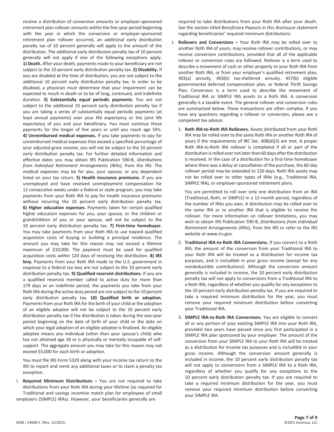receive a distribution of conversion amounts or employer-sponsored retirement plan rollover amounts within the five-year period beginning with the year in which the conversion or employer-sponsored retirement plan rollover occurred, an additional early distribution penalty tax of 10 percent generally will apply to the amount of the distribution. The additional early distribution penalty tax of 10 percent generally will not apply if one of the following exceptions apply. **1) Death.** After your death, payments made to your beneficiary are not subject to the 10 percent early distribution penalty tax. **2) Disability.** If you are disabled at the time of distribution, you are not subject to the additional 10 percent early distribution penalty tax. In order to be disabled, a physician must determine that your impairment can be expected to result in death or to be of long, continued, and indefinite duration. **3) Substantially equal periodic payments.** You are not subject to the additional 10 percent early distribution penalty tax if you are taking a series of substantially equal periodic payments (at least annual payments) over your life expectancy or the joint life expectancy of you and your beneficiary. You must continue these payments for the longer of five years or until you reach age 59½. **4) Unreimbursed medical expenses.** If you take payments to pay for unreimbursed medical expenses that exceed a specified percentage of your adjusted gross income, you will not be subject to the 10 percent early distribution penalty tax. For further detailed information and effective dates you may obtain IRS Publication 590-B, *Distributions from Individual Retirement Arrangements (IRAs)*, from the IRS. The medical expenses may be for you, your spouse, or any dependent listed on your tax return. **5) Health insurance premiums.** If you are unemployed and have received unemployment compensation for 12 consecutive weeks under a federal or state program, you may take payments from your Roth IRA to pay for health insurance premiums without incurring the 10 percent early distribution penalty tax. **6) Higher education expenses.** Payments taken for certain qualified higher education expenses for you, your spouse, or the children or grandchildren of you or your spouse, will not be subject to the 10 percent early distribution penalty tax. **7) First-time homebuyer.** You may take payments from your Roth IRA to use toward qualified acquisition costs of buying or building a principal residence. The amount you may take for this reason may not exceed a lifetime maximum of \$10,000. The payment must be used for qualified acquisition costs within 120 days of receiving the distribution. **8) IRS levy.** Payments from your Roth IRA made to the U.S. government in response to a federal tax levy are not subject to the 10 percent early distribution penalty tax. **9) Qualified reservist distributions.** If you are a qualified reservist member called to active duty for more than 179 days or an indefinite period, the payments you take from your Roth IRA during the active duty period are not subject to the 10 percent early distribution penalty tax. **10) Qualified birth or adoption.** Payments from your Roth IRA for the birth of your child or the adoption of an eligible adoptee will not be subject to the 10 percent early distribution penalty tax if the distribution is taken during the one-year period beginning on the date of birth of your child or the date on which your legal adoption of an eligible adoptee is finalized. An eligible adoptee means any individual (other than your spouse's child) who has not attained age 18 or is physically or mentally incapable of selfsupport. The aggregate amount you may take for this reason may not exceed \$5,000 for each birth or adoption.

You must file IRS Form 5329 along with your income tax return to the IRS to report and remit any additional taxes or to claim a penalty tax exception.

I. **Required Minimum Distributions –** You are not required to take distributions from your Roth IRA during your lifetime (as required for Traditional and savings incentive match plan for employees of small employers (SIMPLE) IRAs). However, your beneficiaries generally are

required to take distributions from your Roth IRA after your death. See the section titled *Beneficiary Payouts* in this disclosure statement regarding beneficiaries' required minimum distributions.

- J. **Rollovers and Conversions –** Your Roth IRA may be rolled over to another Roth IRA of yours, may receive rollover contributions, or may receive conversion contributions, provided that all of the applicable rollover or conversion rules are followed. Rollover is a term used to describe a movement of cash or other property to your Roth IRA from another Roth IRA, or from your employer's qualified retirement plan, 403(a) annuity, 403(b) tax-sheltered annuity, 457(b) eligible governmental deferred compensation plan, or federal Thrift Savings Plan. Conversion is a term used to describe the movement of Traditional IRA or SIMPLE IRA assets to a Roth IRA. A conversion generally is a taxable event. The general rollover and conversion rules are summarized below. These transactions are often complex. If you have any questions regarding a rollover or conversion, please see a competent tax advisor.
	- 1. **Roth IRA-to-Roth IRA Rollovers.** Assets distributed from your Roth IRA may be rolled over to the same Roth IRA or another Roth IRA of yours if the requirements of IRC Sec. 408(d)(3) are met. A proper Roth IRA-to-Roth IRA rollover is completed if all or part of the distribution is rolled over not later than 60 days after the distribution is received. In the case of a distribution for a first-time homebuyer where there was a delay or cancellation of the purchase, the 60-day rollover period may be extended to 120 days. Roth IRA assets may not be rolled over to other types of IRAs (e.g., Traditional IRA, SIMPLE IRA), or employer-sponsored retirement plans.

You are permitted to roll over only one distribution from an IRA (Traditional, Roth, or SIMPLE) in a 12-month period, regardless of the number of IRAs you own. A distribution may be rolled over to the same IRA or to another IRA that is eligible to receive the rollover. For more information on rollover limitations, you may wish to obtain IRS Publication 590-B, *Distributions from Individual Retirement Arrangements (IRAs)*, from the IRS or refer to the IRS website at www.irs.gov.

- 2. **Traditional IRA-to-Roth IRA Conversions.** If you convert to a Roth IRA, the amount of the conversion from your Traditional IRA to your Roth IRA will be treated as a distribution for income tax purposes, and is includible in your gross income (except for any nondeductible contributions). Although the conversion amount generally is included in income, the 10 percent early distribution penalty tax will not apply to conversions from a Traditional IRA to a Roth IRA, regardless of whether you qualify for any exceptions to the 10 percent early distribution penalty tax. If you are required to take a required minimum distribution for the year, you must remove your required minimum distribution before converting your Traditional IRA.
- 3. **SIMPLE IRA-to-Roth IRA Conversions.** You are eligible to convert all or any portion of your existing SIMPLE IRA into your Roth IRA, provided two years have passed since you first participated in a SIMPLE IRA plan sponsored by your employer. The amount of the conversion from your SIMPLE IRA to your Roth IRA will be treated as a distribution for income tax purposes and is includible in your gross income. Although the conversion amount generally is included in income, the 10 percent early distribution penalty tax will not apply to conversions from a SIMPLE IRA to a Roth IRA, regardless of whether you qualify for any exceptions to the 10 percent early distribution penalty tax. If you are required to take a required minimum distribution for the year, you must remove your required minimum distribution before converting your SIMPLE IRA.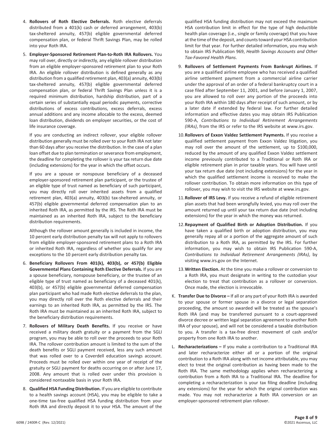- 4. **Rollovers of Roth Elective Deferrals.** Roth elective deferrals distributed from a 401(k) cash or deferred arrangement, 403(b) tax-sheltered annuity, 457(b) eligible governmental deferred compensation plan, or federal Thrift Savings Plan, may be rolled into your Roth IRA.
- 5. **Employer-Sponsored Retirement Plan-to-Roth IRA Rollovers.** You may roll over, directly or indirectly, any eligible rollover distribution from an eligible employer-sponsored retirement plan to your Roth IRA. An eligible rollover distribution is defined generally as any distribution from a qualified retirement plan, 403(a) annuity, 403(b) tax-sheltered annuity, 457(b) eligible governmental deferred compensation plan, or federal Thrift Savings Plan unless it is a required minimum distribution, hardship distribution, part of a certain series of substantially equal periodic payments, corrective distributions of excess contributions, excess deferrals, excess annual additions and any income allocable to the excess, deemed loan distribution, dividends on employer securities, or the cost of life insurance coverage.

If you are conducting an indirect rollover, your eligible rollover distribution generally must be rolled over to your Roth IRA not later than 60 days after you receive the distribution. In the case of a plan loan offset due to plan termination or severance from employment, the deadline for completing the rollover is your tax return due date (including extensions) for the year in which the offset occurs.

If you are a spouse or nonspouse beneficiary of a deceased employer-sponsored retirement plan participant, or the trustee of an eligible type of trust named as beneficiary of such participant, you may directly roll over inherited assets from a qualified retirement plan, 403(a) annuity, 403(b) tax-sheltered annuity, or 457(b) eligible governmental deferred compensation plan to an inherited Roth IRA, as permitted by the IRS. The Roth IRA must be maintained as an inherited Roth IRA, subject to the beneficiary distribution requirements.

Although the rollover amount generally is included in income, the 10 percent early distribution penalty tax will not apply to rollovers from eligible employer-sponsored retirement plans to a Roth IRA or inherited Roth IRA, regardless of whether you qualify for any exceptions to the 10 percent early distribution penalty tax.

- 6. **Beneficiary Rollovers From 401(k), 403(b), or 457(b) Eligible Governmental Plans Containing Roth Elective Deferrals.** If you are a spouse beneficiary, nonspouse beneficiary, or the trustee of an eligible type of trust named as beneficiary of a deceased 401(k), 403(b), or 457(b) eligible governmental deferred compensation plan participant who had made Roth elective deferrals to the plan, you may directly roll over the Roth elective deferrals and their earnings to an inherited Roth IRA, as permitted by the IRS. The Roth IRA must be maintained as an inherited Roth IRA, subject to the beneficiary distribution requirements.
- 7. **Rollovers of Military Death Benefits.** If you receive or have received a military death gratuity or a payment from the SGLI program, you may be able to roll over the proceeds to your Roth IRA. The rollover contribution amount is limited to the sum of the death benefits or SGLI payment received, less any such amount that was rolled over to a Coverdell education savings account. Proceeds must be rolled over within one year of receipt of the gratuity or SGLI payment for deaths occurring on or after June 17, 2008. Any amount that is rolled over under this provision is considered nontaxable basis in your Roth IRA.
- 8. **Qualified HSA Funding Distribution.** If you are eligible to contribute to a health savings account (HSA), you may be eligible to take a one-time tax-free qualified HSA funding distribution from your Roth IRA and directly deposit it to your HSA. The amount of the

qualified HSA funding distribution may not exceed the maximum HSA contribution limit in effect for the type of high deductible health plan coverage (i.e., single or family coverage) that you have at the time of the deposit, and counts toward your HSA contribution limit for that year. For further detailed information, you may wish to obtain IRS Publication 969, *Health Savings Accounts and Other Tax-Favored Health Plans*.

- 9. **Rollovers of Settlement Payments From Bankrupt Airlines.** If you are a qualified airline employee who has received a qualified airline settlement payment from a commercial airline carrier under the approval of an order of a federal bankruptcy court in a case filed after September 11, 2001, and before January 1, 2007, you are allowed to roll over any portion of the proceeds into your Roth IRA within 180 days after receipt of such amount, or by a later date if extended by federal law. For further detailed information and effective dates you may obtain IRS Publication 590-A, *Contributions to Individual Retirement Arrangements (IRAs)*, from the IRS or refer to the IRS website at www.irs.gov.
- 10.**Rollovers of Exxon Valdez Settlement Payments.** If you receive a qualified settlement payment from Exxon Valdez litigation, you may roll over the amount of the settlement, up to \$100,000, reduced by the amount of any qualified Exxon Valdez settlement income previously contributed to a Traditional or Roth IRA or eligible retirement plan in prior taxable years. You will have until your tax return due date (not including extensions) for the year in which the qualified settlement income is received to make the rollover contribution. To obtain more information on this type of rollover, you may wish to visit the IRS website at www.irs.gov.
- 11.**Rollover of IRS Levy.** If you receive a refund of eligible retirement plan assets that had been wrongfully levied, you may roll over the amount returned up until your tax return due date (not including extensions) for the year in which the money was returned.
- 12.**Repayment of Qualified Birth or Adoption Distribution.** If you have taken a qualified birth or adoption distribution, you may generally repay all or a portion of the aggregate amount of such distribution to a Roth IRA, as permitted by the IRS. For further information, you may wish to obtain IRS Publication 590-A, *Contributions to Individual Retirement Arrangements (IRAs)*, by visiting www.irs.gov on the Internet.
- 13.**Written Election.** At the time you make a rollover or conversion to a Roth IRA, you must designate in writing to the custodian your election to treat that contribution as a rollover or conversion. Once made, the election is irrevocable.
- K. **Transfer Due to Divorce –** If all or any part of your Roth IRA is awarded to your spouse or former spouse in a divorce or legal separation proceeding, the amount so awarded will be treated as the spouse's Roth IRA (and may be transferred pursuant to a court-approved divorce decree or written legal separation agreement to another Roth IRA of your spouse), and will not be considered a taxable distribution to you. A transfer is a tax-free direct movement of cash and/or property from one Roth IRA to another.
- L. **Recharacterizations –** If you make a contribution to a Traditional IRA and later recharacterize either all or a portion of the original contribution to a Roth IRA along with net income attributable, you may elect to treat the original contribution as having been made to the Roth IRA. The same methodology applies when recharacterizing a contribution from a Roth IRA to a Traditional IRA. The deadline for completing a recharacterization is your tax filing deadline (including any extensions) for the year for which the original contribution was made. You may not recharacterize a Roth IRA conversion or an employer-sponsored retirement plan rollover.